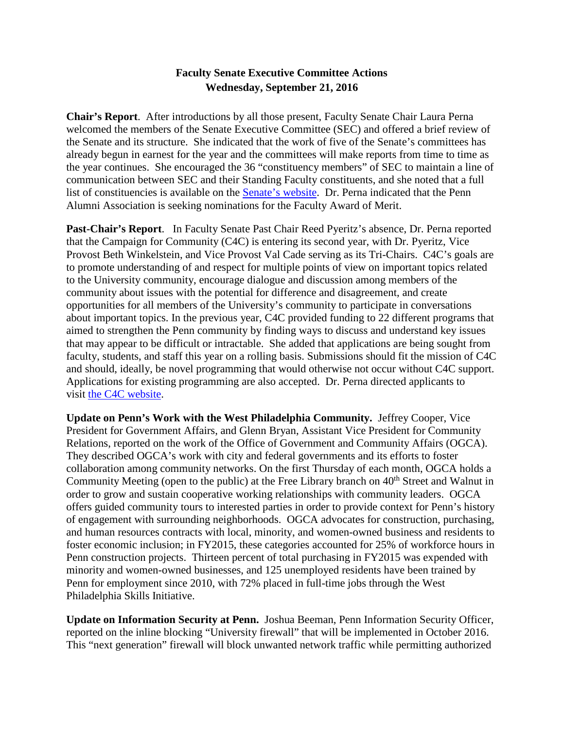# **Faculty Senate Executive Committee Actions Wednesday, September 21, 2016**

**Chair's Report**. After introductions by all those present, Faculty Senate Chair Laura Perna welcomed the members of the Senate Executive Committee (SEC) and offered a brief review of the Senate and its structure. She indicated that the work of five of the Senate's committees has already begun in earnest for the year and the committees will make reports from time to time as the year continues. She encouraged the 36 "constituency members" of SEC to maintain a line of communication between SEC and their Standing Faculty constituents, and she noted that a full list of constituencies is available on the [Senate's website.](http://www.upenn.edu/faculty_senate/sec_members.html) Dr. Perna indicated that the Penn Alumni Association is seeking nominations for the Faculty Award of Merit.

**Past-Chair's Report**. In Faculty Senate Past Chair Reed Pyeritz's absence, Dr. Perna reported that the Campaign for Community (C4C) is entering its second year, with Dr. Pyeritz, Vice Provost Beth Winkelstein, and Vice Provost Val Cade serving as its Tri-Chairs. C4C's goals are to promote understanding of and respect for multiple points of view on important topics related to the University community, encourage dialogue and discussion among members of the community about issues with the potential for difference and disagreement, and create opportunities for all members of the University's community to participate in conversations about important topics. In the previous year, C4C provided funding to 22 different programs that aimed to strengthen the Penn community by finding ways to discuss and understand key issues that may appear to be difficult or intractable. She added that applications are being sought from faculty, students, and staff this year on a rolling basis. Submissions should fit the mission of C4C and should, ideally, be novel programming that would otherwise not occur without C4C support. Applications for existing programming are also accepted. Dr. Perna directed applicants to visit [the C4C website.](https://provost.upenn.edu/initiatives/campaign/grants)

**Update on Penn's Work with the West Philadelphia Community.** Jeffrey Cooper, Vice President for Government Affairs, and Glenn Bryan, Assistant Vice President for Community Relations, reported on the work of the Office of Government and Community Affairs (OGCA). They described OGCA's work with city and federal governments and its efforts to foster collaboration among community networks. On the first Thursday of each month, OGCA holds a Community Meeting (open to the public) at the Free Library branch on 40<sup>th</sup> Street and Walnut in order to grow and sustain cooperative working relationships with community leaders. OGCA offers guided community tours to interested parties in order to provide context for Penn's history of engagement with surrounding neighborhoods. OGCA advocates for construction, purchasing, and human resources contracts with local, minority, and women-owned business and residents to foster economic inclusion; in FY2015, these categories accounted for 25% of workforce hours in Penn construction projects. Thirteen percent of total purchasing in FY2015 was expended with minority and women-owned businesses, and 125 unemployed residents have been trained by Penn for employment since 2010, with 72% placed in full-time jobs through the West Philadelphia Skills Initiative.

**Update on Information Security at Penn.** Joshua Beeman, Penn Information Security Officer, reported on the inline blocking "University firewall" that will be implemented in October 2016. This "next generation" firewall will block unwanted network traffic while permitting authorized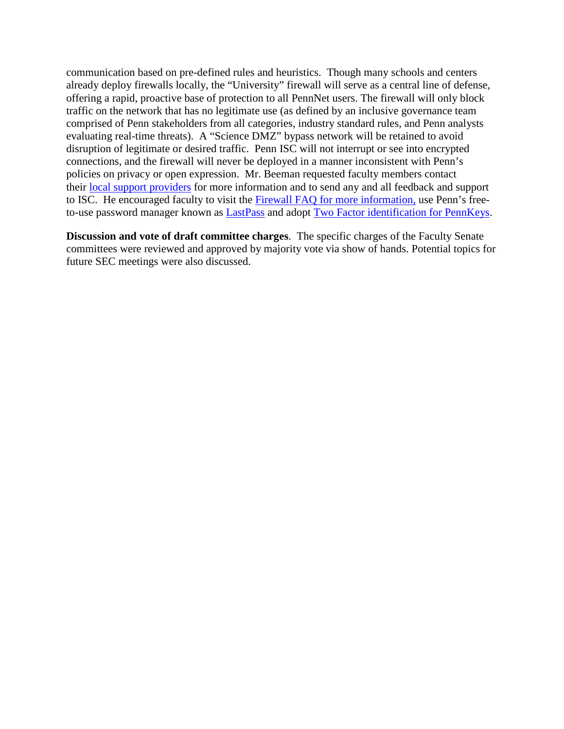communication based on pre-defined rules and heuristics. Though many schools and centers already deploy firewalls locally, the "University" firewall will serve as a central line of defense, offering a rapid, proactive base of protection to all PennNet users. The firewall will only block traffic on the network that has no legitimate use (as defined by an inclusive governance team comprised of Penn stakeholders from all categories, industry standard rules, and Penn analysts evaluating real-time threats). A "Science DMZ" bypass network will be retained to avoid disruption of legitimate or desired traffic. Penn ISC will not interrupt or see into encrypted connections, and the firewall will never be deployed in a manner inconsistent with Penn's policies on privacy or open expression. Mr. Beeman requested faculty members contact their [local support providers](https://www.isc.upenn.edu/facultystaff-support-directory) for more information and to send any and all feedback and support to ISC. He encouraged faculty to visit the [Firewall FAQ](https://www.isc.upenn.edu/university-firewall-faq-general) for more information, use Penn's freeto-use password manager known as **LastPass** and adopt **Two Factor identification for PennKeys**.

**Discussion and vote of draft committee charges**. The specific charges of the Faculty Senate committees were reviewed and approved by majority vote via show of hands. Potential topics for future SEC meetings were also discussed.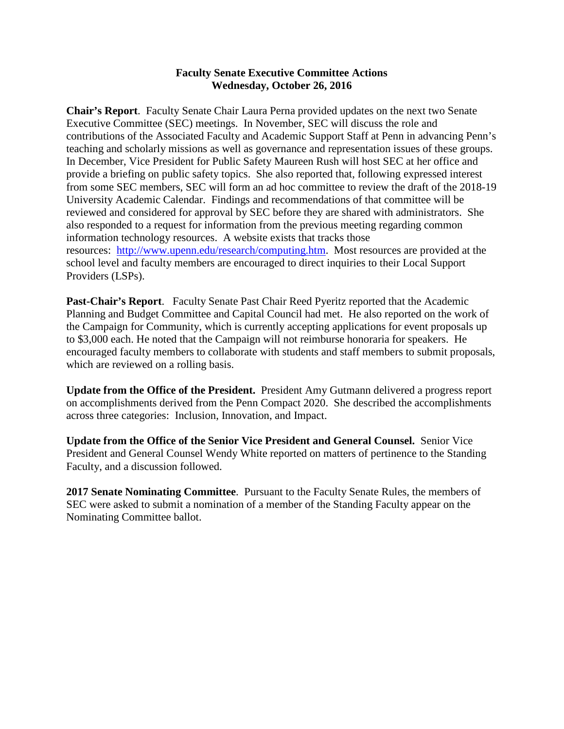#### **Faculty Senate Executive Committee Actions Wednesday, October 26, 2016**

**Chair's Report**. Faculty Senate Chair Laura Perna provided updates on the next two Senate Executive Committee (SEC) meetings. In November, SEC will discuss the role and contributions of the Associated Faculty and Academic Support Staff at Penn in advancing Penn's teaching and scholarly missions as well as governance and representation issues of these groups. In December, Vice President for Public Safety Maureen Rush will host SEC at her office and provide a briefing on public safety topics. She also reported that, following expressed interest from some SEC members, SEC will form an ad hoc committee to review the draft of the 2018-19 University Academic Calendar. Findings and recommendations of that committee will be reviewed and considered for approval by SEC before they are shared with administrators. She also responded to a request for information from the previous meeting regarding common information technology resources. A website exists that tracks those resources: [http://www.upenn.edu/research/computing.htm.](http://www.upenn.edu/research/computing.htm) Most resources are provided at the school level and faculty members are encouraged to direct inquiries to their Local Support Providers (LSPs).

**Past-Chair's Report**. Faculty Senate Past Chair Reed Pyeritz reported that the Academic Planning and Budget Committee and Capital Council had met. He also reported on the work of the Campaign for Community, which is currently accepting applications for event proposals up to \$3,000 each. He noted that the Campaign will not reimburse honoraria for speakers. He encouraged faculty members to collaborate with students and staff members to submit proposals, which are reviewed on a rolling basis.

**Update from the Office of the President.** President Amy Gutmann delivered a progress report on accomplishments derived from the Penn Compact 2020. She described the accomplishments across three categories: Inclusion, Innovation, and Impact.

**Update from the Office of the Senior Vice President and General Counsel.** Senior Vice President and General Counsel Wendy White reported on matters of pertinence to the Standing Faculty, and a discussion followed.

**2017 Senate Nominating Committee**. Pursuant to the Faculty Senate Rules, the members of SEC were asked to submit a nomination of a member of the Standing Faculty appear on the Nominating Committee ballot.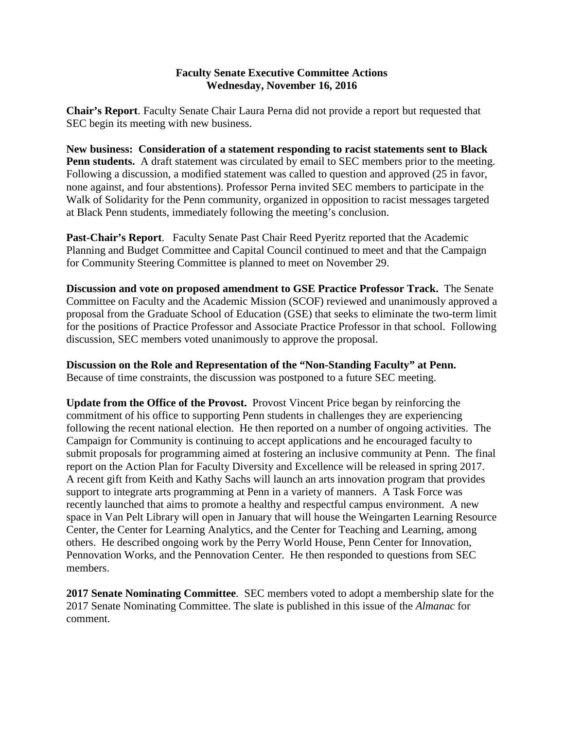## **Faculty Senate Executive Committee Actions Wednesday, November 16, 2016**

**Chair's Report**. Faculty Senate Chair Laura Perna did not provide a report but requested that SEC begin its meeting with new business.

**New business: Consideration of a statement responding to racist statements sent to Black Penn students.** A draft statement was circulated by email to SEC members prior to the meeting. Following a discussion, a modified statement was called to question and approved (25 in favor, none against, and four abstentions). Professor Perna invited SEC members to participate in the Walk of Solidarity for the Penn community, organized in opposition to racist messages targeted at Black Penn students, immediately following the meeting's conclusion.

**Past-Chair's Report**. Faculty Senate Past Chair Reed Pyeritz reported that the Academic Planning and Budget Committee and Capital Council continued to meet and that the Campaign for Community Steering Committee is planned to meet on November 29.

**Discussion and vote on proposed amendment to GSE Practice Professor Track.** The Senate Committee on Faculty and the Academic Mission (SCOF) reviewed and unanimously approved a proposal from the Graduate School of Education (GSE) that seeks to eliminate the two-term limit for the positions of Practice Professor and Associate Practice Professor in that school. Following discussion, SEC members voted unanimously to approve the proposal.

**Discussion on the Role and Representation of the "Non-Standing Faculty" at Penn.**  Because of time constraints, the discussion was postponed to a future SEC meeting.

**Update from the Office of the Provost.** Provost Vincent Price began by reinforcing the commitment of his office to supporting Penn students in challenges they are experiencing following the recent national election. He then reported on a number of ongoing activities. The Campaign for Community is continuing to accept applications and he encouraged faculty to submit proposals for programming aimed at fostering an inclusive community at Penn. The final report on the Action Plan for Faculty Diversity and Excellence will be released in spring 2017. A recent gift from Keith and Kathy Sachs will launch an arts innovation program that provides support to integrate arts programming at Penn in a variety of manners. A Task Force was recently launched that aims to promote a healthy and respectful campus environment. A new space in Van Pelt Library will open in January that will house the Weingarten Learning Resource Center, the Center for Learning Analytics, and the Center for Teaching and Learning, among others. He described ongoing work by the Perry World House, Penn Center for Innovation, Pennovation Works, and the Pennovation Center. He then responded to questions from SEC members.

**2017 Senate Nominating Committee**. SEC members voted to adopt a membership slate for the 2017 Senate Nominating Committee. The slate is published in this issue of the *Almanac* for comment.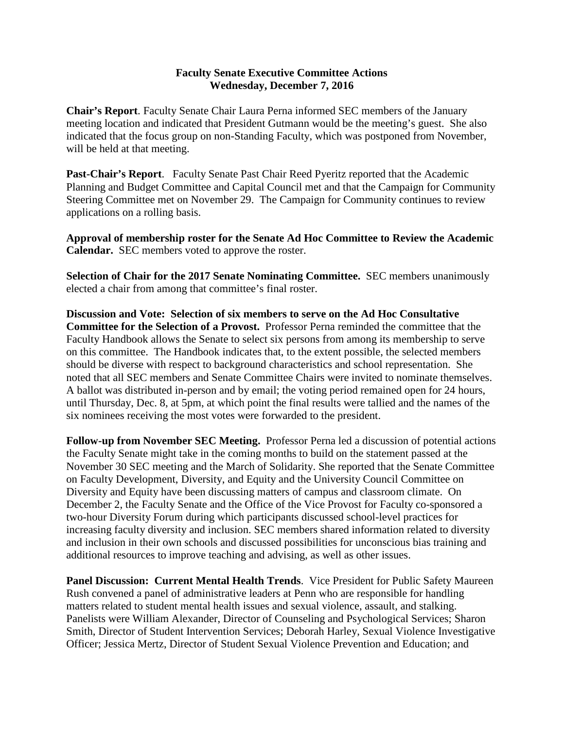#### **Faculty Senate Executive Committee Actions Wednesday, December 7, 2016**

**Chair's Report**. Faculty Senate Chair Laura Perna informed SEC members of the January meeting location and indicated that President Gutmann would be the meeting's guest. She also indicated that the focus group on non-Standing Faculty, which was postponed from November, will be held at that meeting.

**Past-Chair's Report**. Faculty Senate Past Chair Reed Pyeritz reported that the Academic Planning and Budget Committee and Capital Council met and that the Campaign for Community Steering Committee met on November 29. The Campaign for Community continues to review applications on a rolling basis.

**Approval of membership roster for the Senate Ad Hoc Committee to Review the Academic Calendar.** SEC members voted to approve the roster.

**Selection of Chair for the 2017 Senate Nominating Committee.** SEC members unanimously elected a chair from among that committee's final roster.

**Discussion and Vote: Selection of six members to serve on the Ad Hoc Consultative Committee for the Selection of a Provost.** Professor Perna reminded the committee that the Faculty Handbook allows the Senate to select six persons from among its membership to serve on this committee. The Handbook indicates that, to the extent possible, the selected members should be diverse with respect to background characteristics and school representation. She noted that all SEC members and Senate Committee Chairs were invited to nominate themselves. A ballot was distributed in-person and by email; the voting period remained open for 24 hours, until Thursday, Dec. 8, at 5pm, at which point the final results were tallied and the names of the six nominees receiving the most votes were forwarded to the president.

**Follow-up from November SEC Meeting.** Professor Perna led a discussion of potential actions the Faculty Senate might take in the coming months to build on the statement passed at the November 30 SEC meeting and the March of Solidarity. She reported that the Senate Committee on Faculty Development, Diversity, and Equity and the University Council Committee on Diversity and Equity have been discussing matters of campus and classroom climate. On December 2, the Faculty Senate and the Office of the Vice Provost for Faculty co-sponsored a two-hour Diversity Forum during which participants discussed school-level practices for increasing faculty diversity and inclusion. SEC members shared information related to diversity and inclusion in their own schools and discussed possibilities for unconscious bias training and additional resources to improve teaching and advising, as well as other issues.

**Panel Discussion: Current Mental Health Trends**. Vice President for Public Safety Maureen Rush convened a panel of administrative leaders at Penn who are responsible for handling matters related to student mental health issues and sexual violence, assault, and stalking. Panelists were William Alexander, Director of Counseling and Psychological Services; Sharon Smith, Director of Student Intervention Services; Deborah Harley, Sexual Violence Investigative Officer; Jessica Mertz, Director of Student Sexual Violence Prevention and Education; and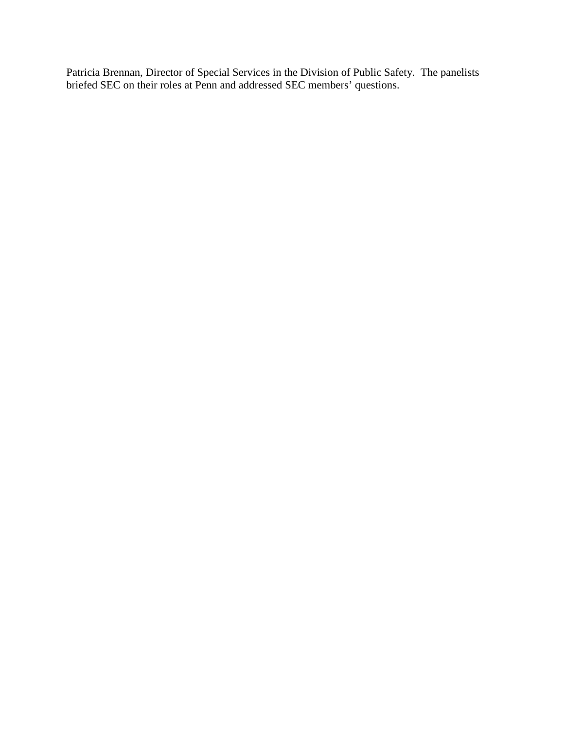Patricia Brennan, Director of Special Services in the Division of Public Safety. The panelists briefed SEC on their roles at Penn and addressed SEC members' questions.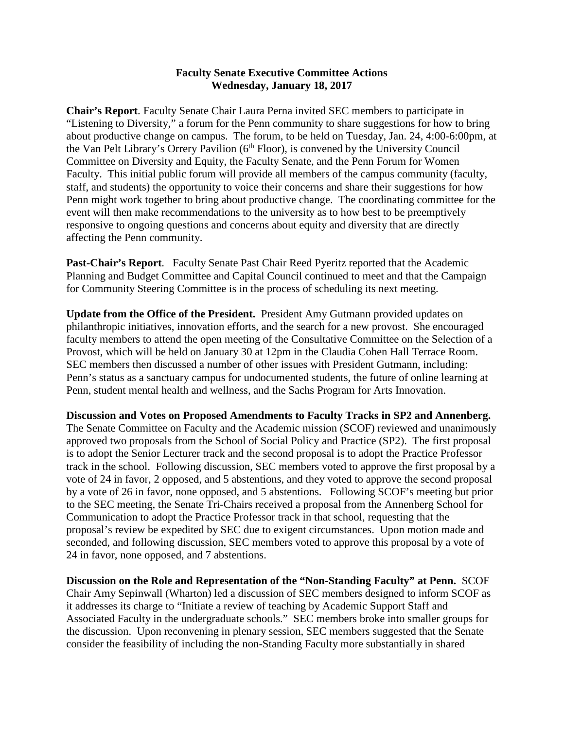#### **Faculty Senate Executive Committee Actions Wednesday, January 18, 2017**

**Chair's Report**. Faculty Senate Chair Laura Perna invited SEC members to participate in "Listening to Diversity," a forum for the Penn community to share suggestions for how to bring about productive change on campus. The forum, to be held on Tuesday, Jan. 24, 4:00-6:00pm, at the Van Pelt Library's Orrery Pavilion  $(6<sup>th</sup> Floor)$ , is convened by the University Council Committee on Diversity and Equity, the Faculty Senate, and the Penn Forum for Women Faculty. This initial public forum will provide all members of the campus community (faculty, staff, and students) the opportunity to voice their concerns and share their suggestions for how Penn might work together to bring about productive change. The coordinating committee for the event will then make recommendations to the university as to how best to be preemptively responsive to ongoing questions and concerns about equity and diversity that are directly affecting the Penn community.

**Past-Chair's Report**. Faculty Senate Past Chair Reed Pyeritz reported that the Academic Planning and Budget Committee and Capital Council continued to meet and that the Campaign for Community Steering Committee is in the process of scheduling its next meeting.

**Update from the Office of the President.** President Amy Gutmann provided updates on philanthropic initiatives, innovation efforts, and the search for a new provost. She encouraged faculty members to attend the open meeting of the Consultative Committee on the Selection of a Provost, which will be held on January 30 at 12pm in the Claudia Cohen Hall Terrace Room. SEC members then discussed a number of other issues with President Gutmann, including: Penn's status as a sanctuary campus for undocumented students, the future of online learning at Penn, student mental health and wellness, and the Sachs Program for Arts Innovation.

**Discussion and Votes on Proposed Amendments to Faculty Tracks in SP2 and Annenberg.**  The Senate Committee on Faculty and the Academic mission (SCOF) reviewed and unanimously approved two proposals from the School of Social Policy and Practice (SP2). The first proposal is to adopt the Senior Lecturer track and the second proposal is to adopt the Practice Professor track in the school. Following discussion, SEC members voted to approve the first proposal by a vote of 24 in favor, 2 opposed, and 5 abstentions, and they voted to approve the second proposal by a vote of 26 in favor, none opposed, and 5 abstentions. Following SCOF's meeting but prior to the SEC meeting, the Senate Tri-Chairs received a proposal from the Annenberg School for Communication to adopt the Practice Professor track in that school, requesting that the proposal's review be expedited by SEC due to exigent circumstances. Upon motion made and seconded, and following discussion, SEC members voted to approve this proposal by a vote of 24 in favor, none opposed, and 7 abstentions.

**Discussion on the Role and Representation of the "Non-Standing Faculty" at Penn.** SCOF Chair Amy Sepinwall (Wharton) led a discussion of SEC members designed to inform SCOF as it addresses its charge to "Initiate a review of teaching by Academic Support Staff and Associated Faculty in the undergraduate schools." SEC members broke into smaller groups for the discussion. Upon reconvening in plenary session, SEC members suggested that the Senate consider the feasibility of including the non-Standing Faculty more substantially in shared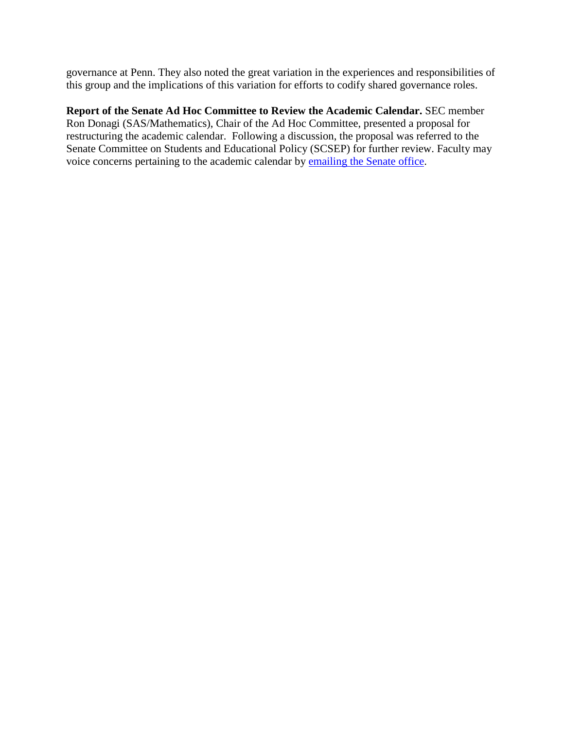governance at Penn. They also noted the great variation in the experiences and responsibilities of this group and the implications of this variation for efforts to codify shared governance roles.

**Report of the Senate Ad Hoc Committee to Review the Academic Calendar.** SEC member Ron Donagi (SAS/Mathematics), Chair of the Ad Hoc Committee, presented a proposal for restructuring the academic calendar. Following a discussion, the proposal was referred to the Senate Committee on Students and Educational Policy (SCSEP) for further review. Faculty may voice concerns pertaining to the academic calendar by [emailing the Senate office.](mailto:senate@pobox.upenn.edu?subject=Academic%20Calendar%20(via%20SEC%20Actions/Almanac))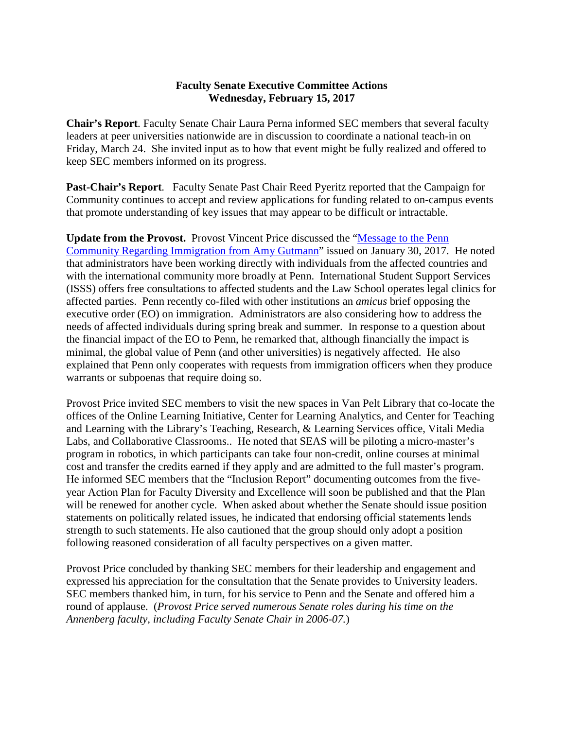# **Faculty Senate Executive Committee Actions Wednesday, February 15, 2017**

**Chair's Report**. Faculty Senate Chair Laura Perna informed SEC members that several faculty leaders at peer universities nationwide are in discussion to coordinate a national teach-in on Friday, March 24. She invited input as to how that event might be fully realized and offered to keep SEC members informed on its progress.

**Past-Chair's Report**. Faculty Senate Past Chair Reed Pyeritz reported that the Campaign for Community continues to accept and review applications for funding related to on-campus events that promote understanding of key issues that may appear to be difficult or intractable.

**Update from the Provost.** Provost Vincent Price discussed the ["Message to the Penn](https://news.upenn.edu/news/message-penn-community-regarding-immigration-amy-gutmann-president)  [Community Regarding Immigration from Amy Gutmann"](https://news.upenn.edu/news/message-penn-community-regarding-immigration-amy-gutmann-president) issued on January 30, 2017. He noted that administrators have been working directly with individuals from the affected countries and with the international community more broadly at Penn. International Student Support Services (ISSS) offers free consultations to affected students and the Law School operates legal clinics for affected parties. Penn recently co-filed with other institutions an *amicus* brief opposing the executive order (EO) on immigration. Administrators are also considering how to address the needs of affected individuals during spring break and summer. In response to a question about the financial impact of the EO to Penn, he remarked that, although financially the impact is minimal, the global value of Penn (and other universities) is negatively affected. He also explained that Penn only cooperates with requests from immigration officers when they produce warrants or subpoenas that require doing so.

Provost Price invited SEC members to visit the new spaces in Van Pelt Library that co-locate the offices of the Online Learning Initiative, Center for Learning Analytics, and Center for Teaching and Learning with the Library's Teaching, Research, & Learning Services office, Vitali Media Labs, and Collaborative Classrooms.. He noted that SEAS will be piloting a micro-master's program in robotics, in which participants can take four non-credit, online courses at minimal cost and transfer the credits earned if they apply and are admitted to the full master's program. He informed SEC members that the "Inclusion Report" documenting outcomes from the fiveyear Action Plan for Faculty Diversity and Excellence will soon be published and that the Plan will be renewed for another cycle. When asked about whether the Senate should issue position statements on politically related issues, he indicated that endorsing official statements lends strength to such statements. He also cautioned that the group should only adopt a position following reasoned consideration of all faculty perspectives on a given matter.

Provost Price concluded by thanking SEC members for their leadership and engagement and expressed his appreciation for the consultation that the Senate provides to University leaders. SEC members thanked him, in turn, for his service to Penn and the Senate and offered him a round of applause. (*Provost Price served numerous Senate roles during his time on the Annenberg faculty, including Faculty Senate Chair in 2006-07.*)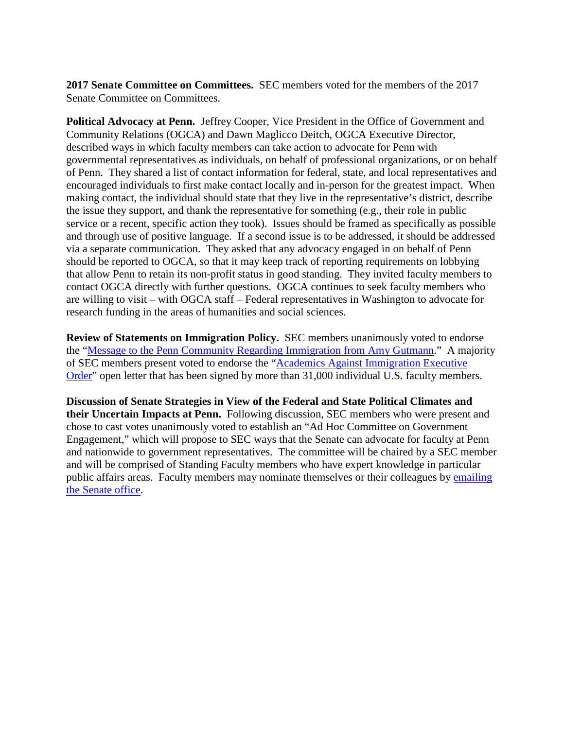**2017 Senate Committee on Committees.** SEC members voted for the members of the 2017 Senate Committee on Committees.

**Political Advocacy at Penn.** Jeffrey Cooper, Vice President in the Office of Government and Community Relations (OGCA) and Dawn Maglicco Deitch, OGCA Executive Director, described ways in which faculty members can take action to advocate for Penn with governmental representatives as individuals, on behalf of professional organizations, or on behalf of Penn. They shared a list of contact information for federal, state, and local representatives and encouraged individuals to first make contact locally and in-person for the greatest impact. When making contact, the individual should state that they live in the representative's district, describe the issue they support, and thank the representative for something (e.g., their role in public service or a recent, specific action they took). Issues should be framed as specifically as possible and through use of positive language. If a second issue is to be addressed, it should be addressed via a separate communication. They asked that any advocacy engaged in on behalf of Penn should be reported to OGCA, so that it may keep track of reporting requirements on lobbying that allow Penn to retain its non-profit status in good standing. They invited faculty members to contact OGCA directly with further questions. OGCA continues to seek faculty members who are willing to visit – with OGCA staff – Federal representatives in Washington to advocate for research funding in the areas of humanities and social sciences.

**Review of Statements on Immigration Policy.** SEC members unanimously voted to endorse the ["Message to the Penn Community Regarding Immigration from Amy Gutmann.](https://news.upenn.edu/news/message-penn-community-regarding-immigration-amy-gutmann-president)" A majority of SEC members present voted to endorse the ["Academics Against Immigration Executive](http://www.notoimmigrationban.com/)  [Order"](http://www.notoimmigrationban.com/) open letter that has been signed by more than 31,000 individual U.S. faculty members.

**Discussion of Senate Strategies in View of the Federal and State Political Climates and their Uncertain Impacts at Penn.** Following discussion, SEC members who were present and chose to cast votes unanimously voted to establish an "Ad Hoc Committee on Government Engagement," which will propose to SEC ways that the Senate can advocate for faculty at Penn and nationwide to government representatives. The committee will be chaired by a SEC member and will be comprised of Standing Faculty members who have expert knowledge in particular public affairs areas. Faculty members may nominate themselves or their colleagues by [emailing](mailto:senate@pobox.upenn.edu?subject=Academic%20Calendar%20(via%20SEC%20Actions/Almanac))  [the Senate office.](mailto:senate@pobox.upenn.edu?subject=Academic%20Calendar%20(via%20SEC%20Actions/Almanac))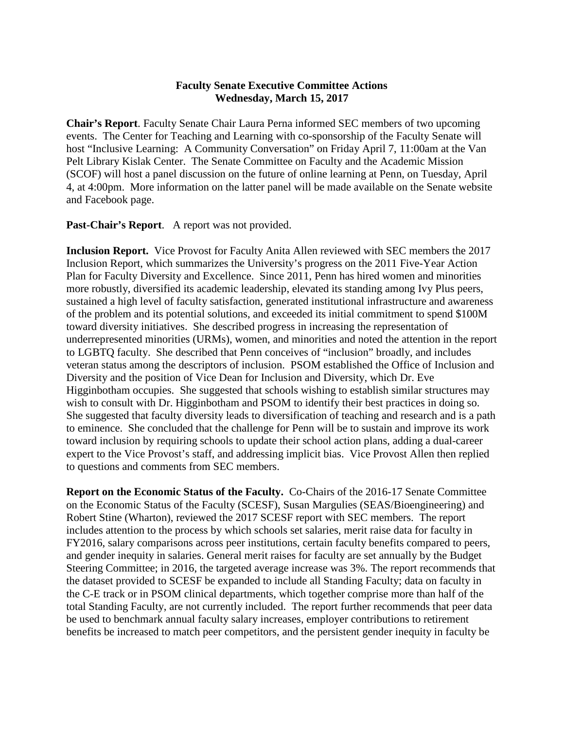## **Faculty Senate Executive Committee Actions Wednesday, March 15, 2017**

**Chair's Report**. Faculty Senate Chair Laura Perna informed SEC members of two upcoming events. The Center for Teaching and Learning with co-sponsorship of the Faculty Senate will host "Inclusive Learning: A Community Conversation" on Friday April 7, 11:00am at the Van Pelt Library Kislak Center. The Senate Committee on Faculty and the Academic Mission (SCOF) will host a panel discussion on the future of online learning at Penn, on Tuesday, April 4, at 4:00pm. More information on the latter panel will be made available on the Senate website and Facebook page.

**Past-Chair's Report**. A report was not provided.

**Inclusion Report.** Vice Provost for Faculty Anita Allen reviewed with SEC members the 2017 Inclusion Report, which summarizes the University's progress on the 2011 Five-Year Action Plan for Faculty Diversity and Excellence. Since 2011, Penn has hired women and minorities more robustly, diversified its academic leadership, elevated its standing among Ivy Plus peers, sustained a high level of faculty satisfaction, generated institutional infrastructure and awareness of the problem and its potential solutions, and exceeded its initial commitment to spend \$100M toward diversity initiatives. She described progress in increasing the representation of underrepresented minorities (URMs), women, and minorities and noted the attention in the report to LGBTQ faculty. She described that Penn conceives of "inclusion" broadly, and includes veteran status among the descriptors of inclusion. PSOM established the Office of Inclusion and Diversity and the position of Vice Dean for Inclusion and Diversity, which Dr. Eve Higginbotham occupies. She suggested that schools wishing to establish similar structures may wish to consult with Dr. Higginbotham and PSOM to identify their best practices in doing so. She suggested that faculty diversity leads to diversification of teaching and research and is a path to eminence. She concluded that the challenge for Penn will be to sustain and improve its work toward inclusion by requiring schools to update their school action plans, adding a dual-career expert to the Vice Provost's staff, and addressing implicit bias. Vice Provost Allen then replied to questions and comments from SEC members.

**Report on the Economic Status of the Faculty.** Co-Chairs of the 2016-17 Senate Committee on the Economic Status of the Faculty (SCESF), Susan Margulies (SEAS/Bioengineering) and Robert Stine (Wharton), reviewed the 2017 SCESF report with SEC members. The report includes attention to the process by which schools set salaries, merit raise data for faculty in FY2016, salary comparisons across peer institutions, certain faculty benefits compared to peers, and gender inequity in salaries. General merit raises for faculty are set annually by the Budget Steering Committee; in 2016, the targeted average increase was 3%. The report recommends that the dataset provided to SCESF be expanded to include all Standing Faculty; data on faculty in the C-E track or in PSOM clinical departments, which together comprise more than half of the total Standing Faculty, are not currently included. The report further recommends that peer data be used to benchmark annual faculty salary increases, employer contributions to retirement benefits be increased to match peer competitors, and the persistent gender inequity in faculty be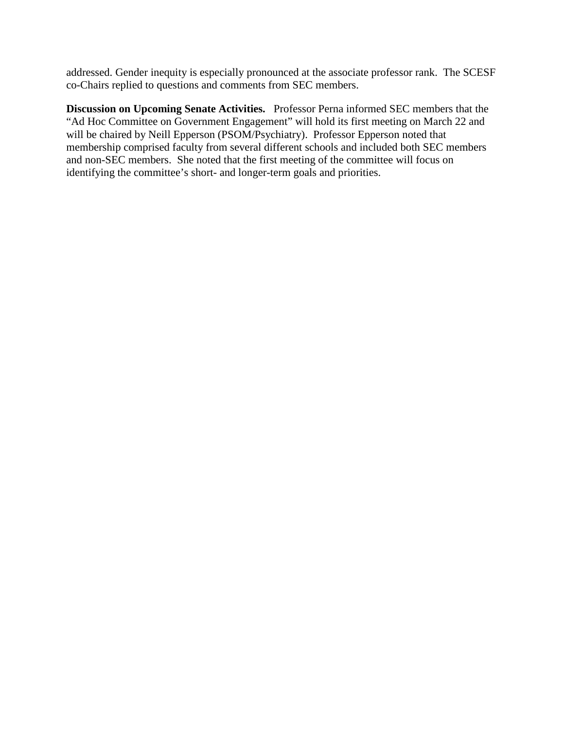addressed. Gender inequity is especially pronounced at the associate professor rank. The SCESF co-Chairs replied to questions and comments from SEC members.

**Discussion on Upcoming Senate Activities.** Professor Perna informed SEC members that the "Ad Hoc Committee on Government Engagement" will hold its first meeting on March 22 and will be chaired by Neill Epperson (PSOM/Psychiatry). Professor Epperson noted that membership comprised faculty from several different schools and included both SEC members and non-SEC members. She noted that the first meeting of the committee will focus on identifying the committee's short- and longer-term goals and priorities.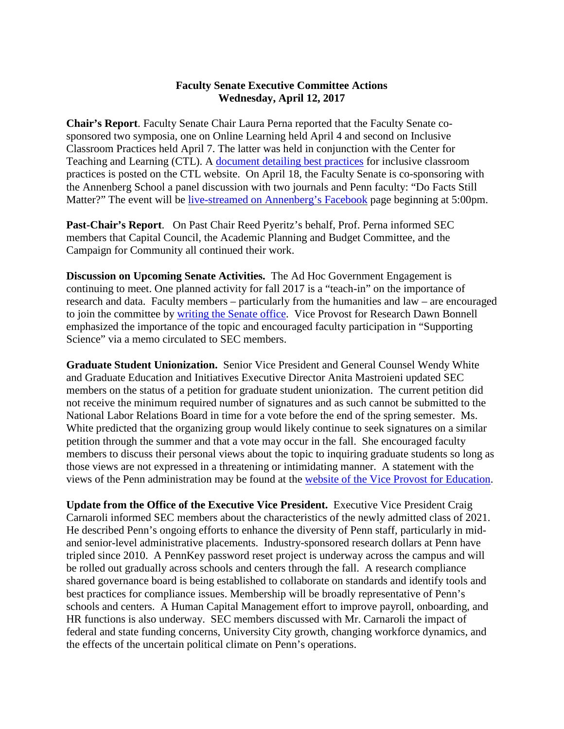## **Faculty Senate Executive Committee Actions Wednesday, April 12, 2017**

**Chair's Report**. Faculty Senate Chair Laura Perna reported that the Faculty Senate cosponsored two symposia, one on Online Learning held April 4 and second on Inclusive Classroom Practices held April 7. The latter was held in conjunction with the Center for Teaching and Learning (CTL). A [document detailing best practices](https://www.ctl.upenn.edu/sites/default/files/inclusive_teaching_practices.pdf) for inclusive classroom practices is posted on the CTL website. On April 18, the Faculty Senate is co-sponsoring with the Annenberg School a panel discussion with two journals and Penn faculty: "Do Facts Still Matter?" The event will be [live-streamed on Annenberg's Facebook](https://www.facebook.com/AnnenbergSchoolforCommunication/) page beginning at 5:00pm.

**Past-Chair's Report**. On Past Chair Reed Pyeritz's behalf, Prof. Perna informed SEC members that Capital Council, the Academic Planning and Budget Committee, and the Campaign for Community all continued their work.

**Discussion on Upcoming Senate Activities.** The Ad Hoc Government Engagement is continuing to meet. One planned activity for fall 2017 is a "teach-in" on the importance of research and data. Faculty members – particularly from the humanities and law – are encouraged to join the committee by [writing the Senate office.](mailto:senate@pobox.upenn.edu?subject=Ad%20Hoc%20Government%20Engagement%20Committee%20-%20Expression%20of%20Interest) Vice Provost for Research Dawn Bonnell emphasized the importance of the topic and encouraged faculty participation in "Supporting Science" via a memo circulated to SEC members.

**Graduate Student Unionization.** Senior Vice President and General Counsel Wendy White and Graduate Education and Initiatives Executive Director Anita Mastroieni updated SEC members on the status of a petition for graduate student unionization. The current petition did not receive the minimum required number of signatures and as such cannot be submitted to the National Labor Relations Board in time for a vote before the end of the spring semester. Ms. White predicted that the organizing group would likely continue to seek signatures on a similar petition through the summer and that a vote may occur in the fall. She encouraged faculty members to discuss their personal views about the topic to inquiring graduate students so long as those views are not expressed in a threatening or intimidating manner. A statement with the views of the Penn administration may be found at the [website of the Vice Provost for Education.](https://provost.upenn.edu/education/graduate/faq)

**Update from the Office of the Executive Vice President.** Executive Vice President Craig Carnaroli informed SEC members about the characteristics of the newly admitted class of 2021. He described Penn's ongoing efforts to enhance the diversity of Penn staff, particularly in midand senior-level administrative placements. Industry-sponsored research dollars at Penn have tripled since 2010. A PennKey password reset project is underway across the campus and will be rolled out gradually across schools and centers through the fall. A research compliance shared governance board is being established to collaborate on standards and identify tools and best practices for compliance issues. Membership will be broadly representative of Penn's schools and centers. A Human Capital Management effort to improve payroll, onboarding, and HR functions is also underway. SEC members discussed with Mr. Carnaroli the impact of federal and state funding concerns, University City growth, changing workforce dynamics, and the effects of the uncertain political climate on Penn's operations.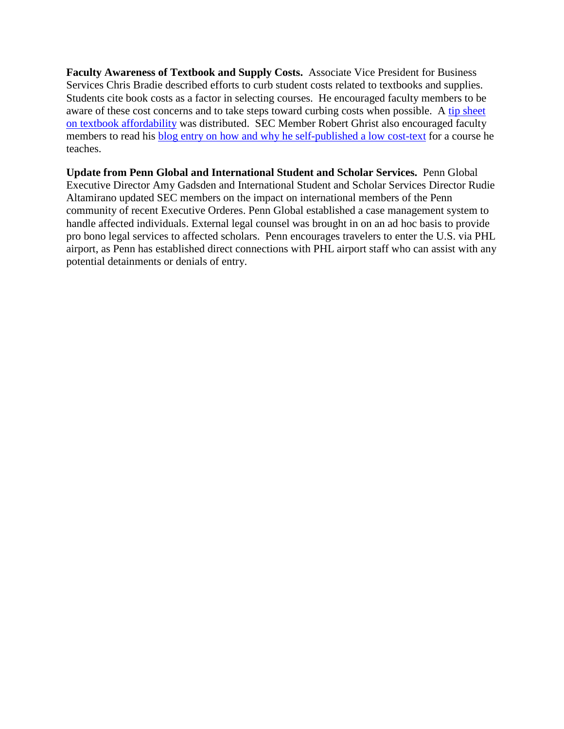**Faculty Awareness of Textbook and Supply Costs.** Associate Vice President for Business Services Chris Bradie described efforts to curb student costs related to textbooks and supplies. Students cite book costs as a factor in selecting courses. He encouraged faculty members to be aware of these cost concerns and to take steps toward curbing costs when possible. A tip sheet [on textbook affordability](http://www.upenn.edu/faculty_senate/textbook.pdf) was distributed. SEC Member Robert Ghrist also encouraged faculty members to read his [blog entry on how and why he self-published a low cost-text](https://www.math.upenn.edu/%7Eghrist/whyselfpublish.html) for a course he teaches.

**Update from Penn Global and International Student and Scholar Services.** Penn Global Executive Director Amy Gadsden and International Student and Scholar Services Director Rudie Altamirano updated SEC members on the impact on international members of the Penn community of recent Executive Orderes. Penn Global established a case management system to handle affected individuals. External legal counsel was brought in on an ad hoc basis to provide pro bono legal services to affected scholars. Penn encourages travelers to enter the U.S. via PHL airport, as Penn has established direct connections with PHL airport staff who can assist with any potential detainments or denials of entry.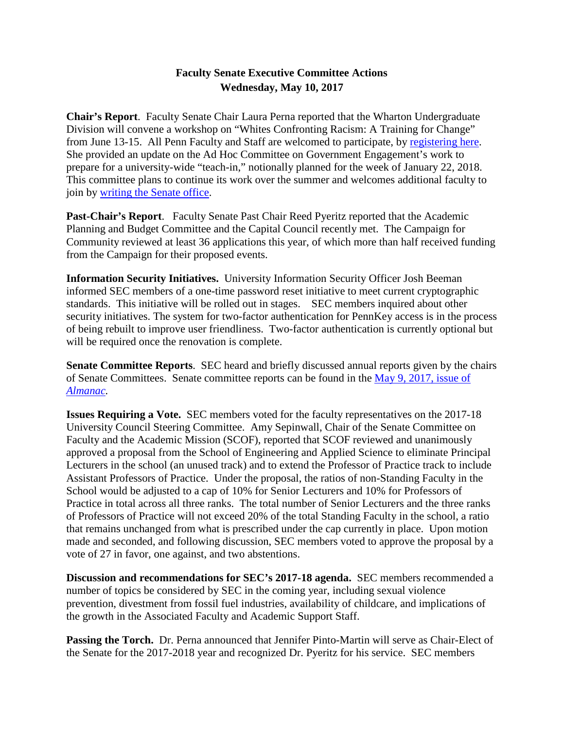# **Faculty Senate Executive Committee Actions Wednesday, May 10, 2017**

**Chair's Report**. Faculty Senate Chair Laura Perna reported that the Wharton Undergraduate Division will convene a workshop on "Whites Confronting Racism: A Training for Change" from June 13-15. All Penn Faculty and Staff are welcomed to participate, by [registering here.](https://docs.google.com/forms/d/e/1FAIpQLSf8r0f0EBx30IIKyuJU0iaGHDDtoMz-L31nOIOdPezbPl8Mrg/viewform?c=0&w=1) She provided an update on the Ad Hoc Committee on Government Engagement's work to prepare for a university-wide "teach-in," notionally planned for the week of January 22, 2018. This committee plans to continue its work over the summer and welcomes additional faculty to join by [writing the Senate office.](mailto:senate@pobox.upenn.edu?subject=Ad%20Hoc%20Committe%20Participation)

**Past-Chair's Report**. Faculty Senate Past Chair Reed Pyeritz reported that the Academic Planning and Budget Committee and the Capital Council recently met. The Campaign for Community reviewed at least 36 applications this year, of which more than half received funding from the Campaign for their proposed events.

**Information Security Initiatives.** University Information Security Officer Josh Beeman informed SEC members of a one-time password reset initiative to meet current cryptographic standards. This initiative will be rolled out in stages. SEC members inquired about other security initiatives. The system for two-factor authentication for PennKey access is in the process of being rebuilt to improve user friendliness. Two-factor authentication is currently optional but will be required once the renovation is complete.

**Senate Committee Reports**. SEC heard and briefly discussed annual reports given by the chairs of Senate Committees. Senate committee reports can be found in the [May 9, 2017, issue of](http://www.upenn.edu/almanac/volumes/v63/n34/pdf/scof.pdf)  *[Almanac.](http://www.upenn.edu/almanac/volumes/v63/n34/pdf/scof.pdf)*

**Issues Requiring a Vote.** SEC members voted for the faculty representatives on the 2017-18 University Council Steering Committee. Amy Sepinwall, Chair of the Senate Committee on Faculty and the Academic Mission (SCOF), reported that SCOF reviewed and unanimously approved a proposal from the School of Engineering and Applied Science to eliminate Principal Lecturers in the school (an unused track) and to extend the Professor of Practice track to include Assistant Professors of Practice. Under the proposal, the ratios of non-Standing Faculty in the School would be adjusted to a cap of 10% for Senior Lecturers and 10% for Professors of Practice in total across all three ranks. The total number of Senior Lecturers and the three ranks of Professors of Practice will not exceed 20% of the total Standing Faculty in the school, a ratio that remains unchanged from what is prescribed under the cap currently in place. Upon motion made and seconded, and following discussion, SEC members voted to approve the proposal by a vote of 27 in favor, one against, and two abstentions.

**Discussion and recommendations for SEC's 2017-18 agenda.** SEC members recommended a number of topics be considered by SEC in the coming year, including sexual violence prevention, divestment from fossil fuel industries, availability of childcare, and implications of the growth in the Associated Faculty and Academic Support Staff.

**Passing the Torch.** Dr. Perna announced that Jennifer Pinto-Martin will serve as Chair-Elect of the Senate for the 2017-2018 year and recognized Dr. Pyeritz for his service. SEC members